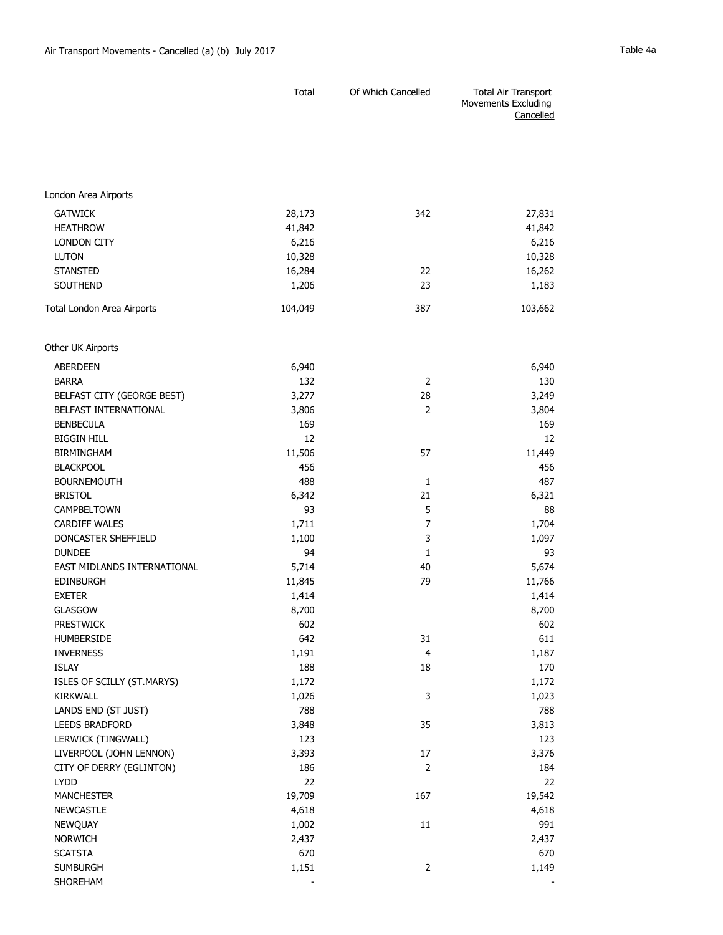|                             | <b>Total</b> | Of Which Cancelled | <b>Total Air Transport</b><br><b>Movements Excluding</b> |
|-----------------------------|--------------|--------------------|----------------------------------------------------------|
|                             |              |                    | Cancelled                                                |
|                             |              |                    |                                                          |
|                             |              |                    |                                                          |
|                             |              |                    |                                                          |
|                             |              |                    |                                                          |
| London Area Airports        |              |                    |                                                          |
| <b>GATWICK</b>              | 28,173       | 342                | 27,831                                                   |
| <b>HEATHROW</b>             | 41,842       |                    | 41,842                                                   |
| <b>LONDON CITY</b>          | 6,216        |                    | 6,216                                                    |
| <b>LUTON</b>                | 10,328       |                    | 10,328                                                   |
| <b>STANSTED</b>             | 16,284       | 22                 | 16,262                                                   |
| <b>SOUTHEND</b>             | 1,206        | 23                 | 1,183                                                    |
| Total London Area Airports  | 104,049      | 387                | 103,662                                                  |
| Other UK Airports           |              |                    |                                                          |
| <b>ABERDEEN</b>             | 6,940        |                    | 6,940                                                    |
| <b>BARRA</b>                | 132          | $\overline{2}$     | 130                                                      |
| BELFAST CITY (GEORGE BEST)  | 3,277        | 28                 | 3,249                                                    |
| BELFAST INTERNATIONAL       | 3,806        | $\overline{2}$     | 3,804                                                    |
| <b>BENBECULA</b>            | 169          |                    | 169                                                      |
| <b>BIGGIN HILL</b>          | 12           |                    | 12                                                       |
| <b>BIRMINGHAM</b>           | 11,506       | 57                 | 11,449                                                   |
| <b>BLACKPOOL</b>            | 456          |                    | 456                                                      |
| <b>BOURNEMOUTH</b>          | 488          | 1                  | 487                                                      |
| <b>BRISTOL</b>              | 6,342        | 21                 | 6,321                                                    |
| CAMPBELTOWN                 | 93           | 5                  | 88                                                       |
| <b>CARDIFF WALES</b>        | 1,711        | $\overline{7}$     | 1,704                                                    |
| DONCASTER SHEFFIELD         | 1,100        | 3                  | 1,097                                                    |
| <b>DUNDEE</b>               | 94           | 1                  | 93                                                       |
| EAST MIDLANDS INTERNATIONAL | 5,714        | 40                 | 5,674                                                    |
| <b>EDINBURGH</b>            | 11,845       | 79                 | 11,766                                                   |
| <b>EXETER</b>               | 1,414        |                    | 1,414                                                    |
| <b>GLASGOW</b>              | 8,700        |                    | 8,700                                                    |
| <b>PRESTWICK</b>            | 602          |                    | 602                                                      |
| HUMBERSIDE                  | 642          | 31                 | 611                                                      |
| <b>INVERNESS</b>            | 1,191        | 4                  | 1,187                                                    |
| <b>ISLAY</b>                | 188          | 18                 | 170                                                      |
| ISLES OF SCILLY (ST.MARYS)  | 1,172        |                    | 1,172                                                    |
| KIRKWALL                    | 1,026        | 3                  | 1,023                                                    |
| LANDS END (ST JUST)         | 788          |                    | 788                                                      |
| LEEDS BRADFORD              | 3,848        | 35                 | 3,813                                                    |
| LERWICK (TINGWALL)          | 123          |                    | 123                                                      |
| LIVERPOOL (JOHN LENNON)     | 3,393        | 17                 | 3,376                                                    |
| CITY OF DERRY (EGLINTON)    | 186          | $\overline{2}$     | 184                                                      |
| <b>LYDD</b>                 | 22           |                    | 22                                                       |
| <b>MANCHESTER</b>           | 19,709       | 167                | 19,542                                                   |
| NEWCASTLE                   | 4,618        |                    | 4,618                                                    |
| <b>NEWQUAY</b>              | 1,002        | 11                 | 991                                                      |
| <b>NORWICH</b>              | 2,437        |                    | 2,437                                                    |
| <b>SCATSTA</b>              | 670          |                    | 670                                                      |
| <b>SUMBURGH</b>             | 1,151        | $\overline{2}$     | 1,149                                                    |
| SHOREHAM                    |              |                    |                                                          |